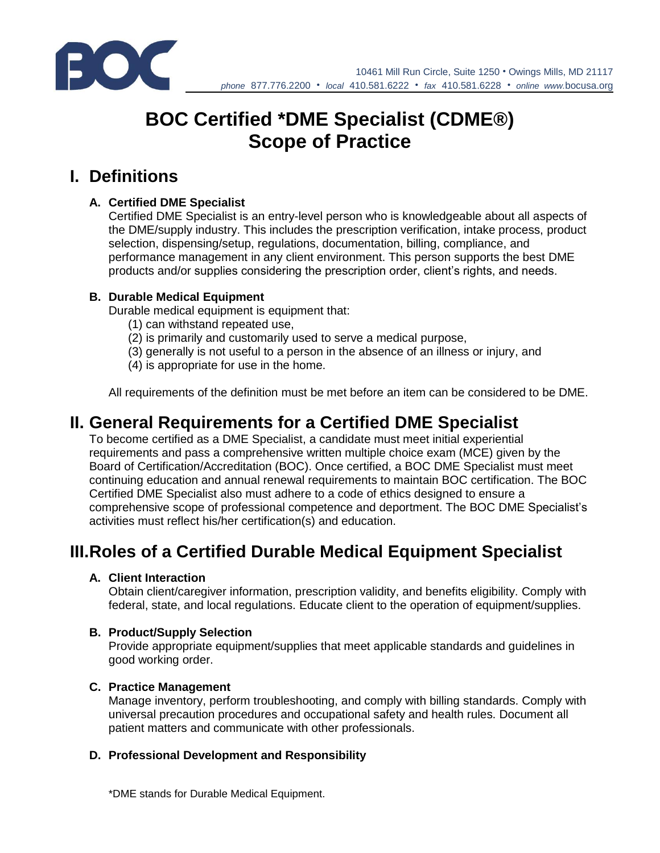

10461 Mill Run Circle, Suite 1250 • Owings Mills, MD 21117 *phone* 877.776.2200 • *local* 410.581.6222 • *fax* 410.581.6228 • *online www.*bocusa.org

# **BOC Certified \*DME Specialist (CDME®) Scope of Practice**

## **I. Definitions**

#### **A. Certified DME Specialist**

Certified DME Specialist is an entry-level person who is knowledgeable about all aspects of the DME/supply industry. This includes the prescription verification, intake process, product selection, dispensing/setup, regulations, documentation, billing, compliance, and performance management in any client environment. This person supports the best DME products and/or supplies considering the prescription order, client's rights, and needs.

#### **B. Durable Medical Equipment**

Durable medical equipment is equipment that:

- (1) can withstand repeated use,
- (2) is primarily and customarily used to serve a medical purpose,
- (3) generally is not useful to a person in the absence of an illness or injury, and
- (4) is appropriate for use in the home.

All requirements of the definition must be met before an item can be considered to be DME.

### **II. General Requirements for a Certified DME Specialist**

To become certified as a DME Specialist, a candidate must meet initial experiential requirements and pass a comprehensive written multiple choice exam (MCE) given by the Board of Certification/Accreditation (BOC). Once certified, a BOC DME Specialist must meet continuing education and annual renewal requirements to maintain BOC certification. The BOC Certified DME Specialist also must adhere to a code of ethics designed to ensure a comprehensive scope of professional competence and deportment. The BOC DME Specialist's activities must reflect his/her certification(s) and education.

# **III.Roles of a Certified Durable Medical Equipment Specialist**

#### **A. Client Interaction**

Obtain client/caregiver information, prescription validity, and benefits eligibility. Comply with federal, state, and local regulations. Educate client to the operation of equipment/supplies.

#### **B. Product/Supply Selection**

Provide appropriate equipment/supplies that meet applicable standards and guidelines in good working order.

#### **C. Practice Management**

Manage inventory, perform troubleshooting, and comply with billing standards. Comply with universal precaution procedures and occupational safety and health rules. Document all patient matters and communicate with other professionals.

#### **D. Professional Development and Responsibility**

\*DME stands for Durable Medical Equipment.